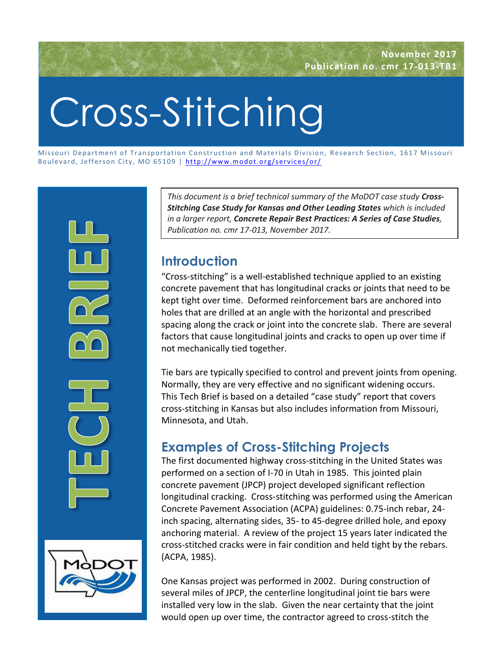# Cross-Stitching

Missouri Department of Transportation Construction and Materials Division, Research Section, 1617 Missouri Boulevard, Jefferson City, MO 65109 | http://www.modot.org/services/or/



*This document is a brief technical summary of the MoDOT case study Cross-Stitching Case Study for Kansas and Other Leading States which is included in a larger report, Concrete Repair Best Practices: A Series of Case Studies, Publication no. cmr 17-013, November 2017.*

# **Introduction**

"Cross-stitching" is a well-established technique applied to an existing concrete pavement that has longitudinal cracks or joints that need to be kept tight over time. Deformed reinforcement bars are anchored into holes that are drilled at an angle with the horizontal and prescribed spacing along the crack or joint into the concrete slab. There are several factors that cause longitudinal joints and cracks to open up over time if not mechanically tied together.

Tie bars are typically specified to control and prevent joints from opening. Normally, they are very effective and no significant widening occurs. This Tech Brief is based on a detailed "case study" report that covers cross-stitching in Kansas but also includes information from Missouri, Minnesota, and Utah.

# **Examples of Cross-Stitching Projects**

The first documented highway cross-stitching in the United States was performed on a section of I-70 in Utah in 1985. This jointed plain concrete pavement (JPCP) project developed significant reflection longitudinal cracking. Cross-stitching was performed using the American Concrete Pavement Association (ACPA) guidelines: 0.75-inch rebar, 24 inch spacing, alternating sides, 35- to 45-degree drilled hole, and epoxy anchoring material. A review of the project 15 years later indicated the cross-stitched cracks were in fair condition and held tight by the rebars. (ACPA, 1985).

One Kansas project was performed in 2002. During construction of several miles of JPCP, the centerline longitudinal joint tie bars were installed very low in the slab. Given the near certainty that the joint would open up over time, the contractor agreed to cross-stitch the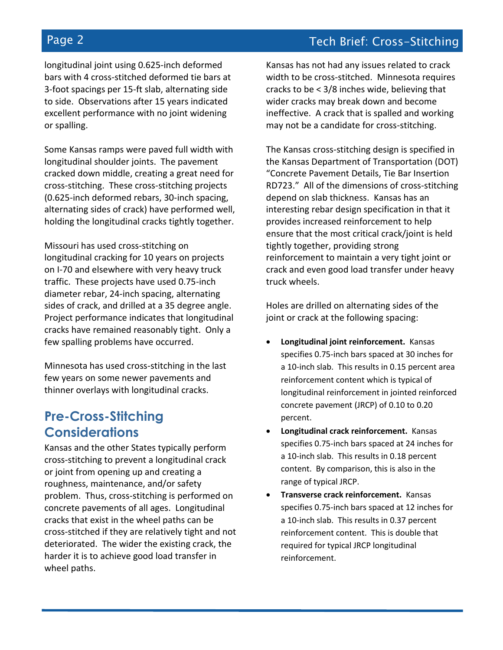longitudinal joint using 0.625-inch deformed bars with 4 cross-stitched deformed tie bars at 3-foot spacings per 15-ft slab, alternating side to side. Observations after 15 years indicated excellent performance with no joint widening or spalling.

Some Kansas ramps were paved full width with longitudinal shoulder joints. The pavement cracked down middle, creating a great need for cross-stitching. These cross-stitching projects (0.625-inch deformed rebars, 30-inch spacing, alternating sides of crack) have performed well, holding the longitudinal cracks tightly together.

Missouri has used cross-stitching on longitudinal cracking for 10 years on projects on I-70 and elsewhere with very heavy truck traffic. These projects have used 0.75-inch diameter rebar, 24-inch spacing, alternating sides of crack, and drilled at a 35 degree angle. Project performance indicates that longitudinal cracks have remained reasonably tight. Only a few spalling problems have occurred.

Minnesota has used cross-stitching in the last few years on some newer pavements and thinner overlays with longitudinal cracks.

## **Pre-Cross-Stitching Considerations**

Kansas and the other States typically perform cross-stitching to prevent a longitudinal crack or joint from opening up and creating a roughness, maintenance, and/or safety problem. Thus, cross-stitching is performed on concrete pavements of all ages. Longitudinal cracks that exist in the wheel paths can be cross-stitched if they are relatively tight and not deteriorated. The wider the existing crack, the harder it is to achieve good load transfer in wheel paths.

Kansas has not had any issues related to crack width to be cross-stitched. Minnesota requires cracks to be < 3/8 inches wide, believing that wider cracks may break down and become ineffective. A crack that is spalled and working may not be a candidate for cross-stitching.

The Kansas cross-stitching design is specified in the Kansas Department of Transportation (DOT) "Concrete Pavement Details, Tie Bar Insertion RD723." All of the dimensions of cross-stitching depend on slab thickness. Kansas has an interesting rebar design specification in that it provides increased reinforcement to help ensure that the most critical crack/joint is held tightly together, providing strong reinforcement to maintain a very tight joint or crack and even good load transfer under heavy truck wheels.

Holes are drilled on alternating sides of the joint or crack at the following spacing:

- **Longitudinal joint reinforcement.** Kansas specifies 0.75-inch bars spaced at 30 inches for a 10-inch slab. This results in 0.15 percent area reinforcement content which is typical of longitudinal reinforcement in jointed reinforced concrete pavement (JRCP) of 0.10 to 0.20 percent.
- **Longitudinal crack reinforcement.** Kansas specifies 0.75-inch bars spaced at 24 inches for a 10-inch slab. This results in 0.18 percent content. By comparison, this is also in the range of typical JRCP.
- **Transverse crack reinforcement.** Kansas specifies 0.75-inch bars spaced at 12 inches for a 10-inch slab. This results in 0.37 percent reinforcement content. This is double that required for typical JRCP longitudinal reinforcement.

# Page 2 Tech Brief: Cross-Stitching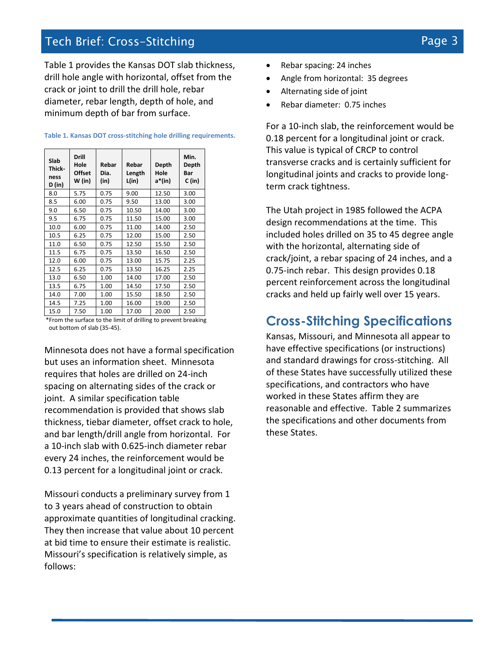### Tech Brief: Cross-Stitching Page 3

Table 1 provides the Kansas DOT slab thickness, drill hole angle with horizontal, offset from the crack or joint to drill the drill hole, rebar diameter, rebar length, depth of hole, and minimum depth of bar from surface.

| Slab<br>Thick-<br>ness<br>D (in)                               | <b>Drill</b><br>Hole<br><b>Offset</b><br>W (in) | Rebar<br>Dia.<br>(in) | Rebar<br>Length<br>L(in) | Depth<br>Hole<br>a*(in) | Min.<br>Depth<br>Bar<br>C (in) |
|----------------------------------------------------------------|-------------------------------------------------|-----------------------|--------------------------|-------------------------|--------------------------------|
| 8.0                                                            | 5.75                                            | 0.75                  | 9.00                     | 12.50                   | 3.00                           |
| 8.5                                                            | 6.00                                            | 0.75                  | 9.50                     | 13.00                   | 3.00                           |
| 9.0                                                            | 6.50                                            | 0.75                  | 10.50                    | 14.00                   | 3.00                           |
| 9.5                                                            | 6.75                                            | 0.75                  | 11.50                    | 15.00                   | 3.00                           |
| 10.0                                                           | 6.00                                            | 0.75                  | 11.00                    | 14.00                   | 2.50                           |
| 10.5                                                           | 6.25                                            | 0.75                  | 12.00                    | 15.00                   | 2.50                           |
| 11.0                                                           | 6.50                                            | 0.75                  | 12.50                    | 15.50                   | 2.50                           |
| 11.5                                                           | 6.75                                            | 0.75                  | 13.50                    | 16.50                   | 2.50                           |
| 12.0                                                           | 6.00                                            | 0.75                  | 13.00                    | 15.75                   | 2.25                           |
| 12.5                                                           | 6.25                                            | 0.75                  | 13.50                    | 16.25                   | 2.25                           |
| 13.0                                                           | 6.50                                            | 1.00                  | 14.00                    | 17.00                   | 2.50                           |
| 13.5                                                           | 6.75                                            | 1.00                  | 14.50                    | 17.50                   | 2.50                           |
| 14.0                                                           | 7.00                                            | 1.00                  | 15.50                    | 18.50                   | 2.50                           |
| 14.5                                                           | 7.25                                            | 1.00                  | 16.00                    | 19.00                   | 2.50                           |
| 15.0                                                           | 7.50                                            | 1.00                  | 17.00                    | 20.00                   | 2.50                           |
| *From the surface to the limit of drilling to prevent breaking |                                                 |                       |                          |                         |                                |

**Table 1. Kansas DOT cross-stitching hole drilling requirements.**

\*From the surface to the limit of drilling to prevent breaking out bottom of slab (35-45).

Minnesota does not have a formal specification but uses an information sheet. Minnesota requires that holes are drilled on 24-inch spacing on alternating sides of the crack or joint. A similar specification table recommendation is provided that shows slab thickness, tiebar diameter, offset crack to hole, and bar length/drill angle from horizontal. For a 10-inch slab with 0.625-inch diameter rebar every 24 inches, the reinforcement would be 0.13 percent for a longitudinal joint or crack.

Missouri conducts a preliminary survey from 1 to 3 years ahead of construction to obtain approximate quantities of longitudinal cracking. They then increase that value about 10 percent at bid time to ensure their estimate is realistic. Missouri's specification is relatively simple, as follows:

- Rebar spacing: 24 inches
- Angle from horizontal: 35 degrees
- Alternating side of joint
- Rebar diameter: 0.75 inches

For a 10-inch slab, the reinforcement would be 0.18 percent for a longitudinal joint or crack. This value is typical of CRCP to control transverse cracks and is certainly sufficient for longitudinal joints and cracks to provide longterm crack tightness.

The Utah project in 1985 followed the ACPA design recommendations at the time. This included holes drilled on 35 to 45 degree angle with the horizontal, alternating side of crack/joint, a rebar spacing of 24 inches, and a 0.75-inch rebar. This design provides 0.18 percent reinforcement across the longitudinal cracks and held up fairly well over 15 years.

#### **Cross-Stitching Specifications**

Kansas, Missouri, and Minnesota all appear to have effective specifications (or instructions) and standard drawings for cross-stitching. All of these States have successfully utilized these specifications, and contractors who have worked in these States affirm they are reasonable and effective. Table 2 summarizes the specifications and other documents from these States.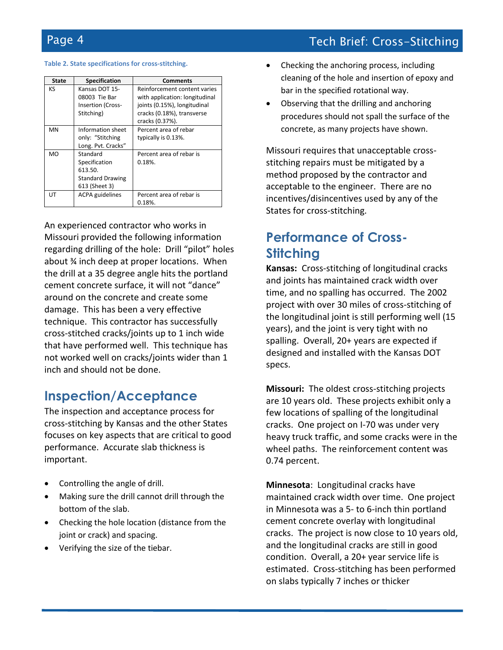# Page 4 Tech Brief: Cross-Stitching

#### **Table 2. State specifications for cross-stitching.**

| <b>State</b> | <b>Specification</b>     | <b>Comments</b>                |  |  |
|--------------|--------------------------|--------------------------------|--|--|
| KS           | Kansas DOT 15-           | Reinforcement content varies   |  |  |
|              | 08003 Tie Bar            | with application: longitudinal |  |  |
|              | <b>Insertion (Cross-</b> | joints (0.15%), longitudinal   |  |  |
|              | Stitching)               | cracks (0.18%), transverse     |  |  |
|              |                          | cracks (0.37%).                |  |  |
| <b>MN</b>    | Information sheet        | Percent area of rebar          |  |  |
|              | only: "Stitching         | typically is 0.13%.            |  |  |
|              | Long. Pvt. Cracks"       |                                |  |  |
| MO           | Standard                 | Percent area of rebar is       |  |  |
|              | Specification            | 0.18%                          |  |  |
|              | 613.50.                  |                                |  |  |
|              | <b>Standard Drawing</b>  |                                |  |  |
|              | 613 (Sheet 3)            |                                |  |  |
| UΤ           | <b>ACPA</b> guidelines   | Percent area of rebar is       |  |  |
|              |                          | 0.18%                          |  |  |

An experienced contractor who works in Missouri provided the following information regarding drilling of the hole: Drill "pilot" holes about ¾ inch deep at proper locations. When the drill at a 35 degree angle hits the portland cement concrete surface, it will not "dance" around on the concrete and create some damage. This has been a very effective technique. This contractor has successfully cross-stitched cracks/joints up to 1 inch wide that have performed well. This technique has not worked well on cracks/joints wider than 1 inch and should not be done.

#### **Inspection/Acceptance**

The inspection and acceptance process for cross-stitching by Kansas and the other States focuses on key aspects that are critical to good performance. Accurate slab thickness is important.

- Controlling the angle of drill.
- Making sure the drill cannot drill through the bottom of the slab.
- Checking the hole location (distance from the joint or crack) and spacing.
- Verifying the size of the tiebar.
- Checking the anchoring process, including cleaning of the hole and insertion of epoxy and bar in the specified rotational way.
- Observing that the drilling and anchoring procedures should not spall the surface of the concrete, as many projects have shown.

Missouri requires that unacceptable crossstitching repairs must be mitigated by a method proposed by the contractor and acceptable to the engineer. There are no incentives/disincentives used by any of the States for cross-stitching.

# **Performance of Cross-Stitching**

**Kansas:** Cross-stitching of longitudinal cracks and joints has maintained crack width over time, and no spalling has occurred. The 2002 project with over 30 miles of cross-stitching of the longitudinal joint is still performing well (15 years), and the joint is very tight with no spalling. Overall, 20+ years are expected if designed and installed with the Kansas DOT specs.

**Missouri:** The oldest cross-stitching projects are 10 years old. These projects exhibit only a few locations of spalling of the longitudinal cracks. One project on I-70 was under very heavy truck traffic, and some cracks were in the wheel paths. The reinforcement content was 0.74 percent.

**Minnesota**: Longitudinal cracks have maintained crack width over time. One project in Minnesota was a 5- to 6-inch thin portland cement concrete overlay with longitudinal cracks. The project is now close to 10 years old, and the longitudinal cracks are still in good condition. Overall, a 20+ year service life is estimated. Cross-stitching has been performed on slabs typically 7 inches or thicker